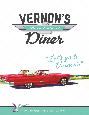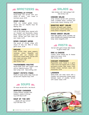# $=$  APPETIZERS  $=$

## MOZZARELLA STICKS

House-made and served with your choice of ranch, sour cream or marinara sauce. 10.99

### ONION RINGS

Thick cut, cooked golden brown, served with our chipotle mayo for dipping. 8.99

### POTATO SKINS

Lots of PEI potato skins, layered with our Cheddar and Mozzarella cheese blend, topped with green onions and bacon. Served with both salsa and sour cream. 14.99

### DINER CHICKEN WINGS

One pound of chicken wings with choice of mild, hot, BBQ or honey garlic sauce. 21.99

### **NACHOS**

Fresh tortilla chips, green peppers, tomatoes, onions, jalapeños and layered with our Cheddar and Mozzarella cheese blend. Served with sour cream and salsa. 19.99 Add guacamole 2.50 Add chicken 4.00

## THUNDERBIRD POUTINE

House-made fries with cheese curds and our signature gravy. 7.99 Add turkey 3.00 Add stuffing 2.00

## SWEET POTATO FRIES

Planks of sweet potato, deep fried and served with Chipotle mayo. 9.99

## $\equiv$  SOUPS  $\equiv$

All soups served with a tea biscuit.

## SEAFOOD CHOWDER

Creamy Atlantic chowder with Haddock, Lobster & Shrimp. Cup 10.99 Bowl 16.99

## SOUP OF THE DAY

……please ask your server! Cup 5.99 Bowl 7.99

## $\equiv$  SALADS  $\equiv$

Add chicken 4.00 Add scallops 5.00 Add shrimp 4.00

### CAESAR SALAD

Crisp romaine served with parmesan, fresh crumbled bacon, croutons and house-made Caesar dressing. 14.99

## ROASTED BEET SALAD

Roasted red beets, goat cheese, mixed greens, walnut pralines and honey-lemon vinaigrette. 17.99

## MIXED GREEN SALAD

Fresh salad greens, carrots, cucumber, red onions, tomatoes and a seasonal house-made honey- lemon vinaigrette. 11.99

## $\equiv$  PASTA  $\equiv$

Served with garlic bread. Add cheese to garlic bread 1.00

## MAC & CHEESE

Creamy, three cheese mac & cheese baked with bacon. 13.99 Add Chicken 4.00

### CHICKEN PARMESAN

Pappardelle pasta tossed in a garlic cream sauce and topped with a crispy parmesan-crusted Eden Valley Fresh chicken breast, marinara sauce and mozzarella. 21.99

## **LASAGNA**

Home-made rich meat sauce with a Cheddar and Mozzarella cheese blend between layers of noodles. Served with Caesar Salad. 17.99

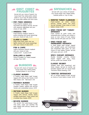## $\equiv$  EAST COAST  $\equiv$ FAVOURITES

Served with your choice of basmati rice, house-made fries, baked potato, mashed potato or cup of soup. All plates includes our house-made coleslaw and tartar sauce.

## PAN FRIED HADDOCK

Fresh Atlantic haddock, herb marinated and lightly floured. Served with seasonal vegetables and your choice of side. 18.99

## HADDOCK TIPS

Fresh Atlantic haddock tossed in panko-breading and house seasonings and your choice of side. 14.49

## CLAMS & CHIPS

Deep fried fresh clams that are lightly dusted with house seasonings with your choice of side 23.99

## FISH & CHIPS

Lightly battered, Atlantic haddock and your choice of side. 1 piece 12.49 2 piece 16.99

#### SCALLOPS & CHIPS

Choice of sautéed (8) or freshly breaded and deep fried. 23.99

## $=$  BURGERS  $=$

Served with choice of basmati rice, house-made fries, baked potato, mashed potato or cup of soup.

## CLASSIC BURGER

A freshly made Angus beef burger, topped with lettuce and tomato. 14.49 Add cheese 1.00 Add bacon 1.50

### MONARCH BURGER

A freshly made Angus beef burger, Cheddar cheese, topped with lettuce, tomato and caramelized onions. 15.99

## METEOR BURGER

A freshly made Angus beef burger, topped with lettuce, tomato, bacon, sautéed mushrooms, crispy onions and crumbled blue cheese. 18.99

## BEYOND BURGER

The world's first plant-based burger that looks, cooks and satisfies like beef topped with lettuce, tomato and onion. 14.99

## $\equiv$  SANDWICHES  $\equiv$

Served with your choice of basmati rice, house-made fries, baked potato, mashed potato or cup of soup.

## **@ ROASTED TURKEY CLUBHOUSE**

Fresh-roasted all white turkey, lettuce, tomato, bacon and mayo. Served between three slices of local bakery bread. 15.99

## OPEN FACED HOT TURKEY **SANDWICH**

Fresh roasted all white turkey with homemade gravy, stuffing, and cranberry sauce on your choice of local bakery bread. Served with peas and corn. 14.99

## OPEN FACED HOT HAMBURGER SANDWICH

A fresh Angus beef burger topped with sautéed onions and mushrooms and homemade beef gravy on your choice of local bakery bread. Served with peas and corn. 14.99

#### SPICY CHICKEN SANDWICH

Double breaded crunchy chicken breast topped with spicy mayo, lettuce, pickle and tomato. 16.99

## CLASSIC REUBEN

Smoked meat with sauerkraut and Swiss cheese. Served on marble rye breaded topped with our house-made Thousand Island dressing. 17.49

### TOASTED SANDWICHES

BLT or Grilled Cheese & Ham, served on choice of local bakery bread. 10.99

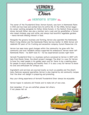

# $\equiv$  VERNON'S STORY  $\equiv$

The owner of the Thunderbird Diner, Vernon Kynock, was born in Hammonds Plains in 1945 and has lived and worked here his entire life. In the 1950s, Vernon began his career working alongside his father, Wylie Kynock, in the family's three grocery stores. Vernon's father was also a butcher and a cook and his grandfather a farmer who raised chickens, pigs and cattle, and always had bountiful vegetable gardens – hence Vernon's lifelong interest in food.

Alongside the grocery business and farming, Vernon also operated the Hammonds Plains Irving Station and the Hammonds Plains Service Center. In 2018, Vernon will celebrate 50 years of his trucking and excavation company, Kynock Resources Ltd.

Vernon has seen many good changes within the community; he grew with the community and local residents always supported his endeavours. Vernon never left Hammonds Plains – he didn't have to – he has experienced success right here!

Vernon's Thunderbird Diner is a business venture conceived by Vernon in 2007 with help from Randy Jones, the diner's project manager. The diner is a way for Vernon to have fun, meet people in his golden years and for there to be a meeting place for people to enjoy amazing and healthy food. It is also a way for Vernon to share his love and enthusiasm for antique cars.

Ingredients and services are sourced locally as much as possible and the diner's menu features seasonal specialties. Vernon is also inspired by old community recipes that the diner will delight in preparing and promoting.

**ICIL** 

May your dining experience at Vernon's Thunderbird Diner always be enjoyable.

Vernon hopes to welcome old friends and to make lots of new ones.

And remember: If you are satisfied, please tell others; if not, please tell us!

Vernon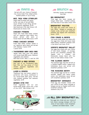## $\equiv$  MAINS  $\equiv$

Served with your choice of basmati rice, house-made fries, baked potato, mashed potato or cup of soup.

## 8OZ. NEW YORK STRIPLOIN

Angus beef brushed with garlic butter and side of Vernon's BBQ sauce. Grilled to your liking. Served with seasonal vegetables. 24.99 Add Mushroom 2.50, Add Onions 1.25 Mushrooms & Onions 3.00

## CHICKEN FINGERS

Made with fresh Eden Valley chicken and our signature spice blend. Four pieces served with plum or house-made Vernon's BBQ sauce. 15.99

## FRIED CHICKEN DINNER

Fresh Eden Valley chicken tossed in our signature spice blend and served with coleslaw. 2 piece 13.99 3 piece 16.99

#### THUNDERBIRD BABY BACK RIBS

Tender baby back pork ribs glazed with house-made BBQ sauce. Seasonal vegetables and coleslaw. Half Rack 24.99 Add a ½ rack for 9.99

### CHICKEN & RIBS DINNER

Half rack of our Thunderbird Baby Back Ribs and two pieces of fried chicken. Seasonal vegetables and coleslaw. 29.99

## LIVER & ONIONS

Traditional liver and onions cooked to perfection with bacon, smothered in our house-made beef gravy. Served with mashed potatoes and seasonal vegetables. 16.99

## GINGER STIR FRY

Fresh vegetables and our own house-made ginger sauce over a bed of rice. 12.99 Add Chicken 4.00

## $=$  BRUNCH  $=$

Saturday, Sunday and Holiday's 11am-2pm

### BIG BREAKFAST

Three eggs, ham, bacon, sausage and bologna, baked beans, breakfast potatoes and three slices of local bakery bread. 19.99

## BREAKFAST POUTINE

Two eggs (any style) with choice of ham, bacon, bologna or sausage and cheese curds, served over breakfast potatoes and topped with hollandaise sauce. 13.99

## FISH CAKES & BEANS

Two house made salted cod cakes with two eggs (any style) and house made baked beans, breakfast potatoes with a tea biscuit and chow. 15.49

## VERNON'S BREAKFAST SKILLET

Two eggs (any style) with your choice of ham, bacon, bologna or sausage, served over breakfast potatoes and topped with a Cheddar and Mozzarella cheese blend with two slices of local bakery bread. 14.99

## THE CLASSIC BENNY

Two poached eggs and ham served on a toasted English muffin, topped with hollandaise sauce and served with breakfast potatoes. 14.99

#### THE AVOCADO BENNY

Two poached eggs served on a baked avocado, topped with bacon, green onions and hollandaise sauce served with breakfast potatoes. 16.99

#### BREAKFAST SANDWICH

Fried egg and Cheddar cheese with your choice of ham, bacon, sausage or bologna served on English muffin with breakfast potatoes. 7.99 Sandwich only 5.49



Two eggs (any style) and your choice of ham, bacon, sausage, bologna, with two slices of local bakery toast, breakfast potatoes and baked beans. 13.99



**Available Gluten Free. Plus HST. JUNE 2022**